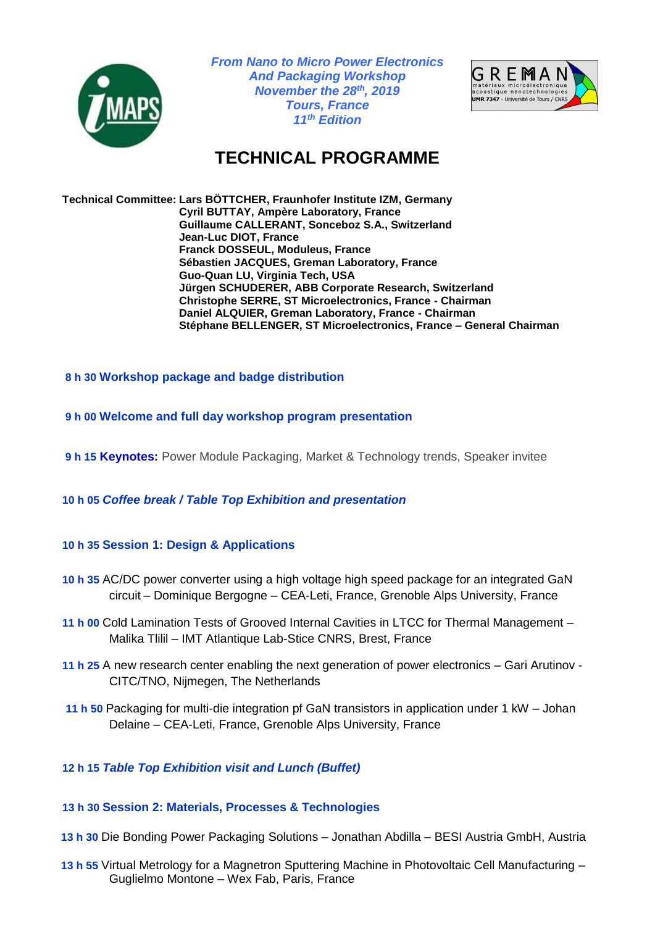

*From Nano to Micro Power Electronics And Packaging Workshop November the 28 th, 2019 Tours, France 11th Edition*



# **TECHNICAL PROGRAMME**

**Technical Committee: Lars BÖTTCHER, Fraunhofer Institute IZM, Germany Cyril BUTTAY, Ampère Laboratory, France Guillaume CALLERANT, Sonceboz S.A., Switzerland Jean-Luc DIOT, France Franck DOSSEUL, Moduleus, France Sébastien JACQUES, Greman Laboratory, France Guo-Quan LU, Virginia Tech, USA Jürgen SCHUDERER, ABB Corporate Research, Switzerland Christophe SERRE, ST Microelectronics, France - Chairman Daniel ALQUIER, Greman Laboratory, France - Chairman Stéphane BELLENGER, ST Microelectronics, France – General Chairman**

### **8 h 30 Workshop package and badge distribution**

- **9 h 00 Welcome and full day workshop program presentation**
- **9 h 15 Keynotes:** Power Module Packaging, Market & Technology trends, Speaker invitee
- **10 h 05** *Coffee break / Table Top Exhibition and presentation*

## **10 h 35 Session 1: Design & Applications**

- **10 h 35** AC/DC power converter using a high voltage high speed package for an integrated GaN circuit – Dominique Bergogne – CEA-Leti, France, Grenoble Alps University, France
- **11 h 00** Cold Lamination Tests of Grooved Internal Cavities in LTCC for Thermal Management Malika Tlilil – IMT Atlantique Lab-Stice CNRS, Brest, France
- **11 h 25** A new research center enabling the next generation of power electronics Gari Arutinov CITC/TNO, Nijmegen, The Netherlands
- **11 h 50** Packaging for multi-die integration pf GaN transistors in application under 1 kW Johan Delaine – CEA-Leti, France, Grenoble Alps University, France

## **12 h 15** *Table Top Exhibition visit and Lunch (Buffet)*

### **13 h 30 Session 2: Materials, Processes & Technologies**

- **13 h 30** Die Bonding Power Packaging Solutions Jonathan Abdilla BESI Austria GmbH, Austria
- **13 h 55** Virtual Metrology for a Magnetron Sputtering Machine in Photovoltaic Cell Manufacturing Guglielmo Montone – Wex Fab, Paris, France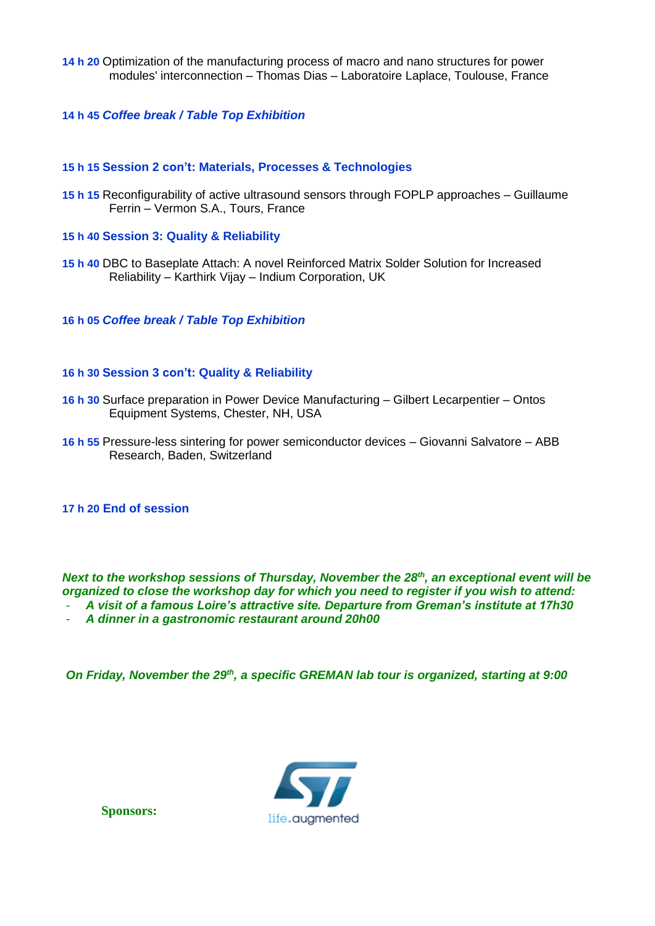**14 h 20** Optimization of the manufacturing process of macro and nano structures for power modules' interconnection – Thomas Dias – Laboratoire Laplace, Toulouse, France

### **14 h 45** *Coffee break / Table Top Exhibition*

### **15 h 15 Session 2 con't: Materials, Processes & Technologies**

- **15 h 15** Reconfigurability of active ultrasound sensors through FOPLP approaches Guillaume Ferrin – Vermon S.A., Tours, France
- **15 h 40 Session 3: Quality & Reliability**
- **15 h 40** DBC to Baseplate Attach: A novel Reinforced Matrix Solder Solution for Increased Reliability – Karthirk Vijay – Indium Corporation, UK

**16 h 05** *Coffee break / Table Top Exhibition*

### **16 h 30 Session 3 con't: Quality & Reliability**

- **16 h 30** Surface preparation in Power Device Manufacturing Gilbert Lecarpentier Ontos Equipment Systems, Chester, NH, USA
- **16 h 55** Pressure-less sintering for power semiconductor devices Giovanni Salvatore ABB Research, Baden, Switzerland

### **17 h 20 End of session**

*Next to the workshop sessions of Thursday, November the 28<sup>th</sup>, an exceptional event will be organized to close the workshop day for which you need to register if you wish to attend:*

- *A visit of a famous Loire's attractive site. Departure from Greman's institute at 17h30*
- *A dinner in a gastronomic restaurant around 20h00*

*On Friday, November the 29th, a specific GREMAN lab tour is organized, starting at 9:00*



**Sponsors:**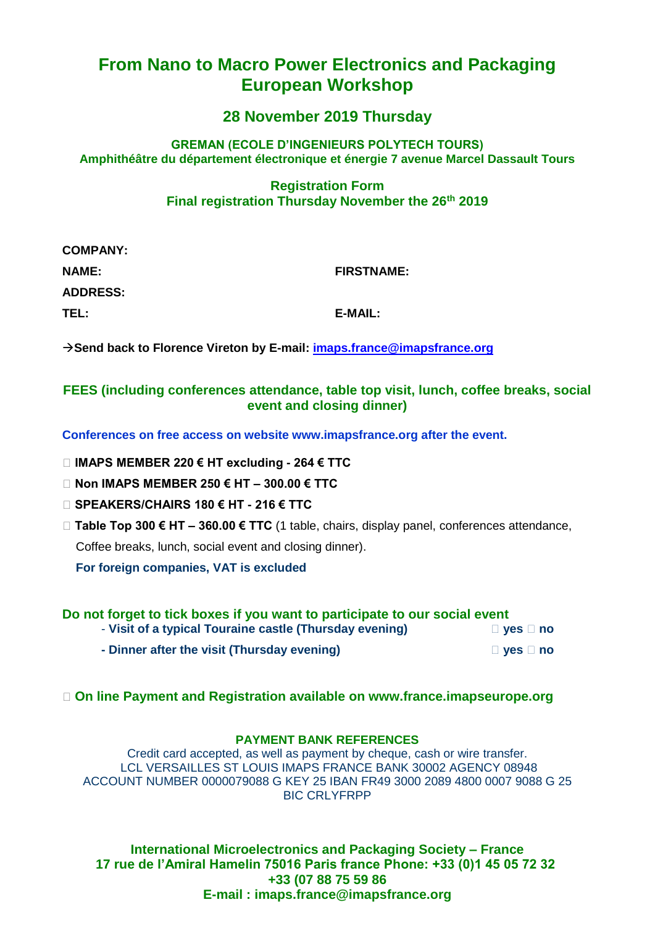## **From Nano to Macro Power Electronics and Packaging European Workshop**

## **28 November 2019 Thursday**

## **GREMAN (ECOLE D'INGENIEURS POLYTECH TOURS) Amphithéâtre du département électronique et énergie 7 avenue Marcel Dassault Tours**

## **Registration Form Final registration Thursday November the 26th 2019**

| <b>COMPANY:</b> |                   |
|-----------------|-------------------|
| <b>NAME:</b>    | <b>FIRSTNAME:</b> |
| <b>ADDRESS:</b> |                   |
| TEL:            | E-MAIL:           |

**Send back to Florence Vireton by E-mail: [imaps.france@imapsfrance.org](mailto:imaps.france@imapsfrance.org)**

## **FEES (including conferences attendance, table top visit, lunch, coffee breaks, social event and closing dinner)**

**Conferences on free access on website www.imapsfrance.org after the event.**

- **IMAPS MEMBER 220 € HT excluding - 264 € TTC**
- **Non IMAPS MEMBER 250 € HT – 300.00 € TTC**
- **SPEAKERS/CHAIRS 180 € HT - 216 € TTC**
- **Table Top 300 € HT – 360.00 € TTC** (1 table, chairs, display panel, conferences attendance,

Coffee breaks, lunch, social event and closing dinner).

 **For foreign companies, VAT is excluded**

| Do not forget to tick boxes if you want to participate to our social event |                      |
|----------------------------------------------------------------------------|----------------------|
| - Visit of a typical Touraine castle (Thursday evening)                    | $\Box$ yes $\Box$ no |
| - Dinner after the visit (Thursday evening)                                | $\Box$ yes $\Box$ no |

**On line Payment and Registration available on www.france.imapseurope.org**

### **PAYMENT BANK REFERENCES**

Credit card accepted, as well as payment by cheque, cash or wire transfer. LCL VERSAILLES ST LOUIS IMAPS FRANCE BANK 30002 AGENCY 08948 ACCOUNT NUMBER 0000079088 G KEY 25 IBAN FR49 3000 2089 4800 0007 9088 G 25 BIC CRLYFRPP

**International Microelectronics and Packaging Society – France 17 rue de l'Amiral Hamelin 75016 Paris france Phone: +33 (0)1 45 05 72 32 +33 (07 88 75 59 86 E-mail : imaps.france@imapsfrance.org**